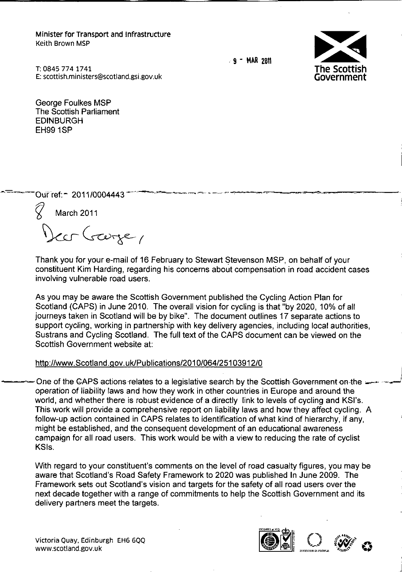Minister for Transport and Infrastructure Keith Brown MSP

.. <sup>9</sup> - **MflR** 26\1 ~



T:0845 7741741 E: [scottish.ministers@scotland.gsi.gov.uk](mailto:scottish.ministers@scotland.gsi.gov.uk)

George Foulkes MSP The Scottish Parliament EDINBURGH EH99 1SP

Our ref: - 2011/0004443

*fl* March <sup>2011</sup>

 $c$ crége,

Thank you for your e-mail of 16 February to Stewart Stevenson MSP, on behalf of your constituent Kim Harding, regarding his concerns about compensation in road accident cases involving vulnerable road users.

As you may be aware the Scottish Government published the Cycling Action Plan for Scotland (CAPS) in June 2010. The overall vision for cycling is that "by 2020, 10% of all journeys taken in Scotland will be by bike". The document outlines 17 separate actions to support cycling, working in partnership with key delivery agencies, including local authorities, Sustrans and Cycling Scotland. The full text of the CAPS document can be viewed on the Scottish Government website at:

## <http://www.Scotland.gov.uklPublications/2010/064/25103912/0>

One of the GAPS actions relates to a legislative search by the Scottish Government on-the  $\cdot$ operation of liability laws and how they work in other countries in Europe and around the world, and whether there is robust evidence of a directly link to levels of cycling and KSI's. This work will provide a comprehensive report on liability laws and how they affect cycling. A follow-up action contained in CAPS relates to identification of what kind of hierarchy, if any, might be established, and the consequent development of an educational awareness campaign for all road users. This work would be with a view to reducing the rate of cyclist KSls.

With regard to your constituent's comments on the level of road casualty figures, you may be aware that Scotland's Road Safety Framework to 2020 was published In June 2009. The Framework sets out Scotland's vision and targets for the safety of all road users over the next decade together with a range of commitments to help the Scottish Government and its delivery partners meet the targets.